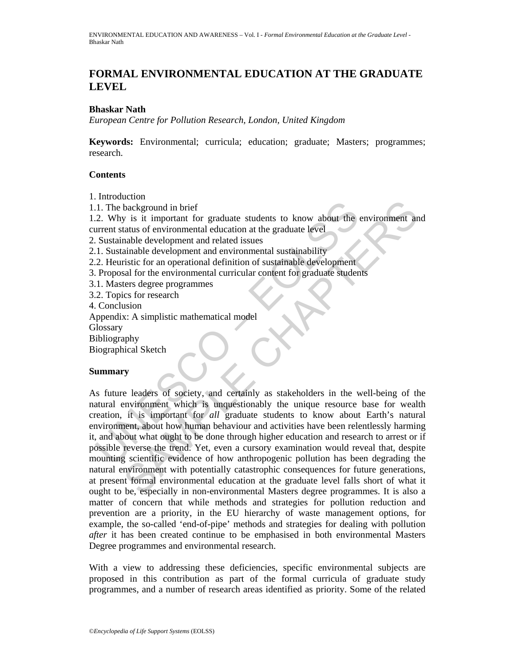# **FORMAL ENVIRONMENTAL EDUCATION AT THE GRADUATE LEVEL**

#### **Bhaskar Nath**

*European Centre for Pollution Research, London, United Kingdom* 

**Keywords:** Environmental; curricula; education; graduate; Masters; programmes; research.

## **Contents**

1. Introduction

1.1. The background in brief

1.2. Why is it important for graduate students to know about the environment and current status of environmental education at the graduate level

2. Sustainable development and related issues

2.1. Sustainable development and environmental sustainability

- 2.2. Heuristic for an operational definition of sustainable development
- 3. Proposal for the environmental curricular content for graduate students
- 3.1. Masters degree programmes
- 3.2. Topics for research

4. Conclusion

Appendix: A simplistic mathematical model

**Glossary** 

Bibliography

Biographical Sketch

## **Summary**

1. The background in brief<br>
2. Why is it important for graduate students to know about the<br>
2. Why is it important for graduate students to know about the<br>
2. Sustainable development and related issues<br>
2. Sustainable deve Example in the method and the students to know about the environment and<br>abackground in brief tor graduate students to know about the environment and<br>anable development and clated issues<br>ainable development and environment As future leaders of society, and certainly as stakeholders in the well-being of the natural environment which is unquestionably the unique resource base for wealth creation, it is important for *all* graduate students to know about Earth's natural environment, about how human behaviour and activities have been relentlessly harming it, and about what ought to be done through higher education and research to arrest or if possible reverse the trend. Yet, even a cursory examination would reveal that, despite mounting scientific evidence of how anthropogenic pollution has been degrading the natural environment with potentially catastrophic consequences for future generations, at present formal environmental education at the graduate level falls short of what it ought to be, especially in non-environmental Masters degree programmes. It is also a matter of concern that while methods and strategies for pollution reduction and prevention are a priority, in the EU hierarchy of waste management options, for example, the so-called 'end-of-pipe' methods and strategies for dealing with pollution *after* it has been created continue to be emphasised in both environmental Masters Degree programmes and environmental research.

With a view to addressing these deficiencies, specific environmental subjects are proposed in this contribution as part of the formal curricula of graduate study programmes, and a number of research areas identified as priority. Some of the related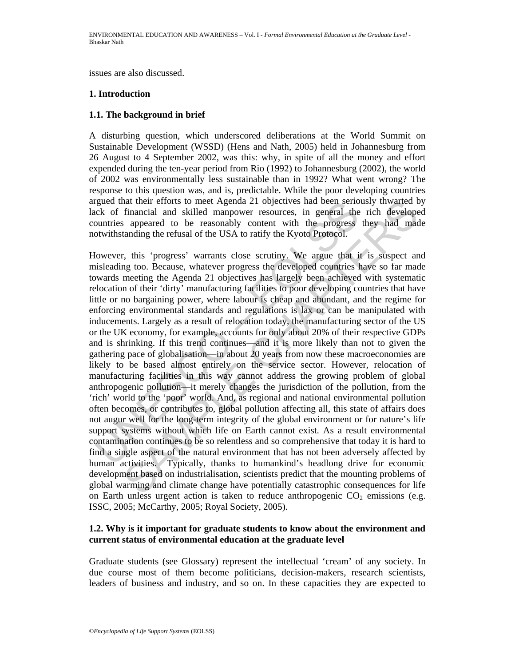issues are also discussed.

### **1. Introduction**

## **1.1. The background in brief**

A disturbing question, which underscored deliberations at the World Summit on Sustainable Development (WSSD) (Hens and Nath, 2005) held in Johannesburg from 26 August to 4 September 2002, was this: why, in spite of all the money and effort expended during the ten-year period from Rio (1992) to Johannesburg (2002), the world of 2002 was environmentally less sustainable than in 1992? What went wrong? The response to this question was, and is, predictable. While the poor developing countries argued that their efforts to meet Agenda 21 objectives had been seriously thwarted by lack of financial and skilled manpower resources, in general the rich developed countries appeared to be reasonably content with the progress they had made notwithstanding the refusal of the USA to ratify the Kyoto Protocol.

regued that their efforts to meet Agenda 21 objectives had been serious<br>colver financial and skilled manpower resources, in general the<br>countries appeared to be reasonably content with the progress<br>otwithstanding the refus nat their efforts to meet Agenda 21 objectives had been seriously thwarted himancial and skilled manover resources, in general the rich develope<br>financial and skilled manover resources, in general the rich develope<br>tanding However, this 'progress' warrants close scrutiny. We argue that it is suspect and misleading too. Because, whatever progress the developed countries have so far made towards meeting the Agenda 21 objectives has largely been achieved with systematic relocation of their 'dirty' manufacturing facilities to poor developing countries that have little or no bargaining power, where labour is cheap and abundant, and the regime for enforcing environmental standards and regulations is lax or can be manipulated with inducements. Largely as a result of relocation today, the manufacturing sector of the US or the UK economy, for example, accounts for only about 20% of their respective GDPs and is shrinking. If this trend continues—and it is more likely than not to given the gathering pace of globalisation—in about 20 years from now these macroeconomies are likely to be based almost entirely on the service sector. However, relocation of manufacturing facilities in this way cannot address the growing problem of global anthropogenic pollution—it merely changes the jurisdiction of the pollution, from the 'rich' world to the 'poor' world. And, as regional and national environmental pollution often becomes, or contributes to, global pollution affecting all, this state of affairs does not augur well for the long-term integrity of the global environment or for nature's life support systems without which life on Earth cannot exist. As a result environmental contamination continues to be so relentless and so comprehensive that today it is hard to find a single aspect of the natural environment that has not been adversely affected by human activities. Typically, thanks to humankind's headlong drive for economic development based on industrialisation, scientists predict that the mounting problems of global warming and climate change have potentially catastrophic consequences for life on Earth unless urgent action is taken to reduce anthropogenic  $CO<sub>2</sub>$  emissions (e.g. ISSC, 2005; McCarthy, 2005; Royal Society, 2005).

## **1.2. Why is it important for graduate students to know about the environment and current status of environmental education at the graduate level**

Graduate students (see Glossary) represent the intellectual 'cream' of any society. In due course most of them become politicians, decision-makers, research scientists, leaders of business and industry, and so on. In these capacities they are expected to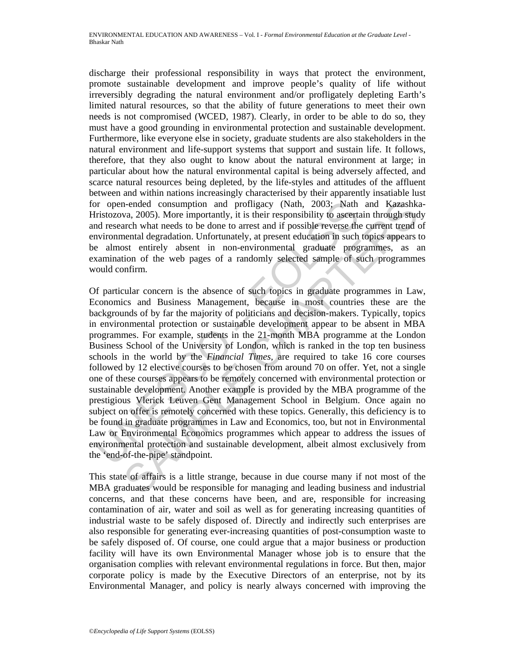discharge their professional responsibility in ways that protect the environment, promote sustainable development and improve people's quality of life without irreversibly degrading the natural environment and/or profligately depleting Earth's limited natural resources, so that the ability of future generations to meet their own needs is not compromised (WCED, 1987). Clearly, in order to be able to do so, they must have a good grounding in environmental protection and sustainable development. Furthermore, like everyone else in society, graduate students are also stakeholders in the natural environment and life-support systems that support and sustain life. It follows, therefore, that they also ought to know about the natural environment at large; in particular about how the natural environmental capital is being adversely affected, and scarce natural resources being depleted, by the life-styles and attitudes of the affluent between and within nations increasingly characterised by their apparently insatiable lust for open-ended consumption and profligacy (Nath, 2003; Nath and Kazashka-Hristozova, 2005). More importantly, it is their responsibility to ascertain through study and research what needs to be done to arrest and if possible reverse the current trend of environmental degradation. Unfortunately, at present education in such topics appears to be almost entirely absent in non-environmental graduate programmes, as an examination of the web pages of a randomly selected sample of such programmes would confirm.

or open-ended consumption and profligacy (Nath, 2003; Nath<br>ristozova, 2005). More importantly, it is their responsibility to ascert<br>and research what needs to be done to arrest and if possible reverse the<br>noironmental degr 1-ended consumption and profligacy (Nath, 2003; Nath and Kazashkava, 2003; Nath and Kazashkava, 2005). More imporantly, it is their responsibility to assertain through students arch what needs to be done to arrest and if p Of particular concern is the absence of such topics in graduate programmes in Law, Economics and Business Management, because in most countries these are the backgrounds of by far the majority of politicians and decision-makers. Typically, topics in environmental protection or sustainable development appear to be absent in MBA programmes. For example, students in the 21-month MBA programme at the London Business School of the University of London, which is ranked in the top ten business schools in the world by the *Financial Times,* are required to take 16 core courses followed by 12 elective courses to be chosen from around 70 on offer. Yet, not a single one of these courses appears to be remotely concerned with environmental protection or sustainable development. Another example is provided by the MBA programme of the prestigious Vlerick Leuven Gent Management School in Belgium. Once again no subject on offer is remotely concerned with these topics. Generally, this deficiency is to be found in graduate programmes in Law and Economics, too, but not in Environmental Law or Environmental Economics programmes which appear to address the issues of environmental protection and sustainable development, albeit almost exclusively from the 'end-of-the-pipe' standpoint.

This state of affairs is a little strange, because in due course many if not most of the MBA graduates would be responsible for managing and leading business and industrial concerns, and that these concerns have been, and are, responsible for increasing contamination of air, water and soil as well as for generating increasing quantities of industrial waste to be safely disposed of. Directly and indirectly such enterprises are also responsible for generating ever-increasing quantities of post-consumption waste to be safely disposed of. Of course, one could argue that a major business or production facility will have its own Environmental Manager whose job is to ensure that the organisation complies with relevant environmental regulations in force. But then, major corporate policy is made by the Executive Directors of an enterprise, not by its Environmental Manager, and policy is nearly always concerned with improving the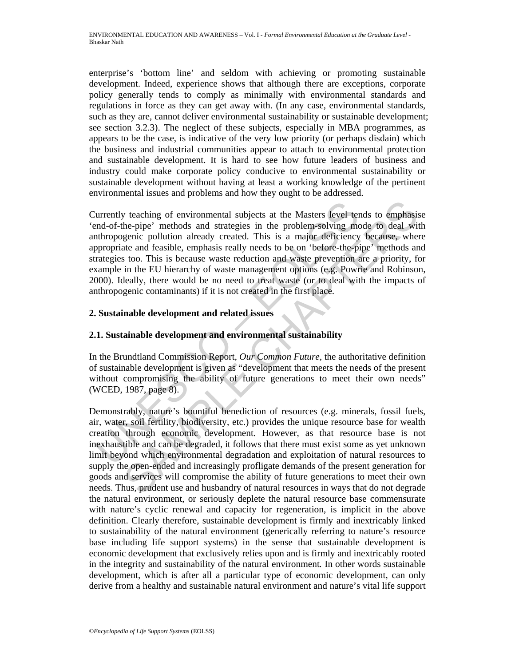enterprise's 'bottom line' and seldom with achieving or promoting sustainable development. Indeed, experience shows that although there are exceptions, corporate policy generally tends to comply as minimally with environmental standards and regulations in force as they can get away with. (In any case, environmental standards, such as they are, cannot deliver environmental sustainability or sustainable development; see section 3.2.3). The neglect of these subjects, especially in MBA programmes, as appears to be the case, is indicative of the very low priority (or perhaps disdain) which the business and industrial communities appear to attach to environmental protection and sustainable development. It is hard to see how future leaders of business and industry could make corporate policy conducive to environmental sustainability or sustainable development without having at least a working knowledge of the pertinent environmental issues and problems and how they ought to be addressed.

urrently teaching of environmental subjects at the Masters level ternd-of-the-pipe' methods and strategies in the problem-solving meth<br>ropogenic pollution already created. This is a major deficiency<br>ppropriate and feasible Currently teaching of environmental subjects at the Masters level tends to emphasise 'end-of-the-pipe' methods and strategies in the problem-solving mode to deal with anthropogenic pollution already created. This is a major deficiency because, where appropriate and feasible, emphasis really needs to be on 'before-the-pipe' methods and strategies too. This is because waste reduction and waste prevention are a priority, for example in the EU hierarchy of waste management options (e.g. Powrie and Robinson, 2000). Ideally, there would be no need to treat waste (or to deal with the impacts of anthropogenic contaminants) if it is not created in the first place.

## **2. Sustainable development and related issues**

## **2.1. Sustainable development and environmental sustainability**

In the Brundtland Commission Report, *Our Common Future*, the authoritative definition of sustainable development is given as "development that meets the needs of the present without compromising the ability of future generations to meet their own needs" (WCED, 1987, page 8).

*x* teaching of environmental subjects at the Masters level tends to emphasine-pipe' methods and strategies in the problem-solving mode to deal witgen<br>ic pollution already created. This is a major deficiency because, when<br> Demonstrably, nature's bountiful benediction of resources (e.g. minerals, fossil fuels, air, water, soil fertility, biodiversity, etc.) provides the unique resource base for wealth creation through economic development. However, as that resource base is not inexhaustible and can be degraded, it follows that there must exist some as yet unknown limit beyond which environmental degradation and exploitation of natural resources to supply the open-ended and increasingly profligate demands of the present generation for goods and services will compromise the ability of future generations to meet their own needs. Thus, prudent use and husbandry of natural resources in ways that do not degrade the natural environment, or seriously deplete the natural resource base commensurate with nature's cyclic renewal and capacity for regeneration, is implicit in the above definition. Clearly therefore, sustainable development is firmly and inextricably linked to sustainability of the natural environment (generically referring to nature's resource base including life support systems) in the sense that sustainable development is economic development that exclusively relies upon and is firmly and inextricably rooted in the integrity and sustainability of the natural environment*.* In other words sustainable development, which is after all a particular type of economic development, can only derive from a healthy and sustainable natural environment and nature's vital life support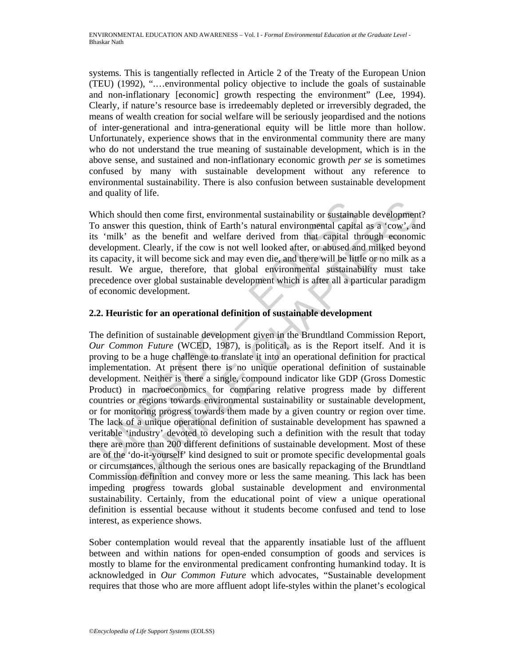systems. This is tangentially reflected in Article 2 of the Treaty of the European Union (TEU) (1992), ".…environmental policy objective to include the goals of sustainable and non-inflationary [economic] growth respecting the environment" (Lee, 1994). Clearly, if nature's resource base is irredeemably depleted or irreversibly degraded, the means of wealth creation for social welfare will be seriously jeopardised and the notions of inter-generational and intra-generational equity will be little more than hollow. Unfortunately, experience shows that in the environmental community there are many who do not understand the true meaning of sustainable development, which is in the above sense, and sustained and non-inflationary economic growth *per se* is sometimes confused by many with sustainable development without any reference to environmental sustainability. There is also confusion between sustainable development and quality of life.

Which should then come first, environmental sustainability or sustainable development? To answer this question, think of Earth's natural environmental capital as a 'cow', and its 'milk' as the benefit and welfare derived from that capital through economic development. Clearly, if the cow is not well looked after, or abused and milked beyond its capacity, it will become sick and may even die, and there will be little or no milk as a result. We argue, therefore, that global environmental sustainability must take precedence over global sustainable development which is after all a particular paradigm of economic development.

## **2.2. Heuristic for an operational definition of sustainable development**

Which should then come first, environmental sustainability or sustainability of answer this question, think of Earth's natural environmental capita's "milk' as the benefit and welfare derived from that capital the evelopm nould then come first, environmental sustainability or sustainable development<br>or this question, think of Earth's natural environmental capital as a 'cow', an<br>
" as the benefit and welfare derived from that capital through The definition of sustainable development given in the Brundtland Commission Report, *Our Common Future* (WCED, 1987), is political, as is the Report itself. And it is proving to be a huge challenge to translate it into an operational definition for practical implementation. At present there is no unique operational definition of sustainable development. Neither is there a single, compound indicator like GDP (Gross Domestic Product) in macroeconomics for comparing relative progress made by different countries or regions towards environmental sustainability or sustainable development, or for monitoring progress towards them made by a given country or region over time. The lack of a unique operational definition of sustainable development has spawned a veritable 'industry' devoted to developing such a definition with the result that today there are more than 200 different definitions of sustainable development. Most of these are of the 'do-it-yourself' kind designed to suit or promote specific developmental goals or circumstances, although the serious ones are basically repackaging of the Brundtland Commission definition and convey more or less the same meaning. This lack has been impeding progress towards global sustainable development and environmental sustainability. Certainly, from the educational point of view a unique operational definition is essential because without it students become confused and tend to lose interest, as experience shows.

Sober contemplation would reveal that the apparently insatiable lust of the affluent between and within nations for open-ended consumption of goods and services is mostly to blame for the environmental predicament confronting humankind today. It is acknowledged in *Our Common Future* which advocates, "Sustainable development requires that those who are more affluent adopt life-styles within the planet's ecological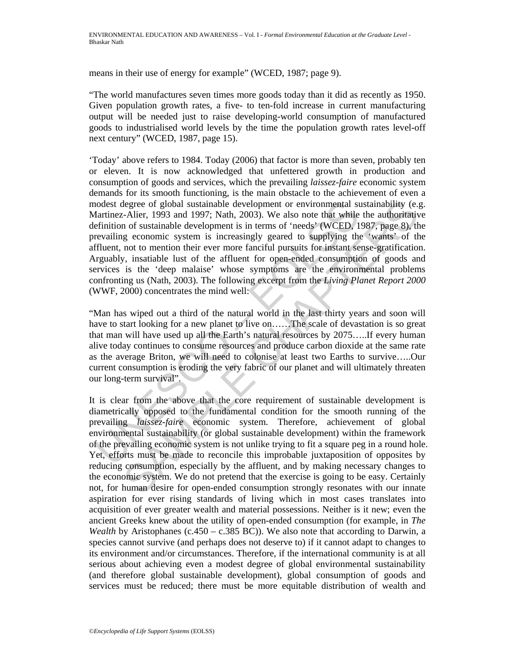means in their use of energy for example" (WCED, 1987; page 9).

"The world manufactures seven times more goods today than it did as recently as 1950. Given population growth rates, a five- to ten-fold increase in current manufacturing output will be needed just to raise developing-world consumption of manufactured goods to industrialised world levels by the time the population growth rates level-off next century" (WCED, 1987, page 15).

nodest degree of global sustainable development or environmental su<br>
alartinez-Alier, 1993 and 1997; Nath, 2003). We also note that while<br>
effinition of sustainable development is in terms of 'needs' (WCED, 1<br>
erevailing e 'Today' above refers to 1984. Today (2006) that factor is more than seven, probably ten or eleven. It is now acknowledged that unfettered growth in production and consumption of goods and services, which the prevailing *laissez-faire* economic system demands for its smooth functioning, is the main obstacle to the achievement of even a modest degree of global sustainable development or environmental sustainability (e.g. Martinez-Alier, 1993 and 1997; Nath, 2003). We also note that while the authoritative definition of sustainable development is in terms of 'needs' (WCED, 1987, page 8), the prevailing economic system is increasingly geared to supplying the 'wants' of the affluent, not to mention their ever more fanciful pursuits for instant sense-gratification. Arguably, insatiable lust of the affluent for open-ended consumption of goods and services is the 'deep malaise' whose symptoms are the environmental problems confronting us (Nath, 2003). The following excerpt from the *Living Planet Report 2000* (WWF, 2000) concentrates the mind well:

"Man has wiped out a third of the natural world in the last thirty years and soon will have to start looking for a new planet to live on......The scale of devastation is so great that man will have used up all the Earth's natural resources by 2075…..If every human alive today continues to consume resources and produce carbon dioxide at the same rate as the average Briton, we will need to colonise at least two Earths to survive…..Our current consumption is eroding the very fabric of our planet and will ultimately threaten our long-term survival".

degree of global sustainable development or environmental sustainability (e., Alier, 1993 and 1997; Nath, 2003). We also note that while the authoritative in of sustainable development is in terms of 'needs' (WCED, 1987, p It is clear from the above that the core requirement of sustainable development is diametrically opposed to the fundamental condition for the smooth running of the prevailing *laissez-faire* economic system. Therefore, achievement of global environmental sustainability (or global sustainable development) within the framework of the prevailing economic system is not unlike trying to fit a square peg in a round hole. Yet, efforts must be made to reconcile this improbable juxtaposition of opposites by reducing consumption, especially by the affluent, and by making necessary changes to the economic system. We do not pretend that the exercise is going to be easy. Certainly not, for human desire for open-ended consumption strongly resonates with our innate aspiration for ever rising standards of living which in most cases translates into acquisition of ever greater wealth and material possessions. Neither is it new; even the ancient Greeks knew about the utility of open-ended consumption (for example, in *The Wealth* by Aristophanes (c.450 – c.385 BC)). We also note that according to Darwin, a species cannot survive (and perhaps does not deserve to) if it cannot adapt to changes to its environment and/or circumstances. Therefore, if the international community is at all serious about achieving even a modest degree of global environmental sustainability (and therefore global sustainable development), global consumption of goods and services must be reduced; there must be more equitable distribution of wealth and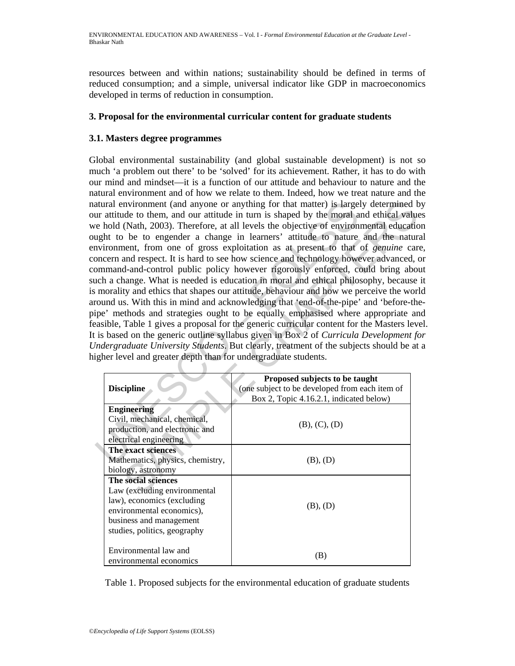resources between and within nations; sustainability should be defined in terms of reduced consumption; and a simple, universal indicator like GDP in macroeconomics developed in terms of reduction in consumption.

## **3. Proposal for the environmental curricular content for graduate students**

## **3.1. Masters degree programmes**

The matter of the matter of the model and contract the center and content and the center of the moral and content and optical in the center of explorited of contract and levels the objective of environment, from one of gro nvironment (and anyone or anything for that matter) is largely determined b<br>
det to them, and our attitude in turn is shaped by the moral and chiletal value<br>
(Nath, 2003). Therefore, at all levels the objective of environm Global environmental sustainability (and global sustainable development) is not so much 'a problem out there' to be 'solved' for its achievement. Rather, it has to do with our mind and mindset—it is a function of our attitude and behaviour to nature and the natural environment and of how we relate to them. Indeed, how we treat nature and the natural environment (and anyone or anything for that matter) is largely determined by our attitude to them, and our attitude in turn is shaped by the moral and ethical values we hold (Nath, 2003). Therefore, at all levels the objective of environmental education ought to be to engender a change in learners' attitude to nature and the natural environment, from one of gross exploitation as at present to that of *genuine* care, concern and respect. It is hard to see how science and technology however advanced, or command-and-control public policy however rigorously enforced, could bring about such a change. What is needed is education in moral and ethical philosophy, because it is morality and ethics that shapes our attitude, behaviour and how we perceive the world around us. With this in mind and acknowledging that 'end-of-the-pipe' and 'before-thepipe' methods and strategies ought to be equally emphasised where appropriate and feasible, Table 1 gives a proposal for the generic curricular content for the Masters level. It is based on the generic outline syllabus given in Box 2 of *Curricula Development for Undergraduate University Students*. But clearly, treatment of the subjects should be at a higher level and greater depth than for undergraduate students.

| <b>Discipline</b>                | Proposed subjects to be taught<br>(one subject to be developed from each item of |
|----------------------------------|----------------------------------------------------------------------------------|
|                                  | Box 2, Topic 4.16.2.1, indicated below)                                          |
|                                  |                                                                                  |
| <b>Engineering</b>               | (B), (C), (D)                                                                    |
| Civil, mechanical, chemical,     |                                                                                  |
| production, and electronic and   |                                                                                  |
| electrical engineering           |                                                                                  |
| The exact sciences               | (B), (D)                                                                         |
| Mathematics, physics, chemistry, |                                                                                  |
| biology, astronomy               |                                                                                  |
| The social sciences              | (B), (D)                                                                         |
| Law (excluding environmental     |                                                                                  |
| law), economics (excluding       |                                                                                  |
| environmental economics),        |                                                                                  |
| business and management          |                                                                                  |
| studies, politics, geography     |                                                                                  |
|                                  |                                                                                  |
| Environmental law and            | (B)                                                                              |
| environmental economics          |                                                                                  |

Table 1. Proposed subjects for the environmental education of graduate students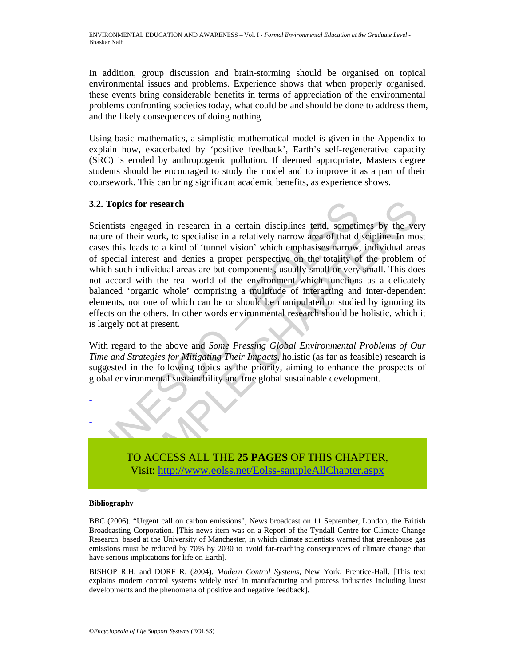ENVIRONMENTAL EDUCATION AND AWARENESS – Vol. I - *Formal Environmental Education at the Graduate Level* - Bhaskar Nath

In addition, group discussion and brain-storming should be organised on topical environmental issues and problems. Experience shows that when properly organised, these events bring considerable benefits in terms of appreciation of the environmental problems confronting societies today, what could be and should be done to address them, and the likely consequences of doing nothing.

Using basic mathematics, a simplistic mathematical model is given in the Appendix to explain how, exacerbated by 'positive feedback', Earth's self-regenerative capacity (SRC) is eroded by anthropogenic pollution. If deemed appropriate, Masters degree students should be encouraged to study the model and to improve it as a part of their coursework. This can bring significant academic benefits, as experience shows.

#### **3.2. Topics for research**

2. Topics for research in a certain disciplines tend, sometical<br>cientists engaged in research in a certain disciplines tend, someticature of their work, to specialise in a relatively narrow area of that di<br>asses this leads ies for research in a certain disciplines tend, sometimes by the vertext of their work, to specialise in a relatively narrow area of that discipline. In most leads to a kind of 'tunnel vision' which emphasises harrow, indi Scientists engaged in research in a certain disciplines tend, sometimes by the very nature of their work, to specialise in a relatively narrow area of that discipline. In most cases this leads to a kind of 'tunnel vision' which emphasises narrow, individual areas of special interest and denies a proper perspective on the totality of the problem of which such individual areas are but components, usually small or very small. This does not accord with the real world of the environment which functions as a delicately balanced 'organic whole' comprising a multitude of interacting and inter-dependent elements, not one of which can be or should be manipulated or studied by ignoring its effects on the others. In other words environmental research should be holistic, which it is largely not at present.

With regard to the above and *Some Pressing Global Environmental Problems of Our Time and Strategies for Mitigating Their Impacts*, holistic (as far as feasible) research is suggested in the following topics as the priority, aiming to enhance the prospects of global environmental sustainability and true global sustainable development.



#### **Bibliography**

- - -

BBC (2006). "Urgent call on carbon emissions", News broadcast on 11 September, London, the British Broadcasting Corporation. [This news item was on a Report of the Tyndall Centre for Climate Change Research, based at the University of Manchester, in which climate scientists warned that greenhouse gas emissions must be reduced by 70% by 2030 to avoid far-reaching consequences of climate change that have serious implications for life on Earth].

BISHOP R.H. and DORF R. (2004). *Modern Control Systems*, New York, Prentice-Hall. [This text explains modern control systems widely used in manufacturing and process industries including latest developments and the phenomena of positive and negative feedback].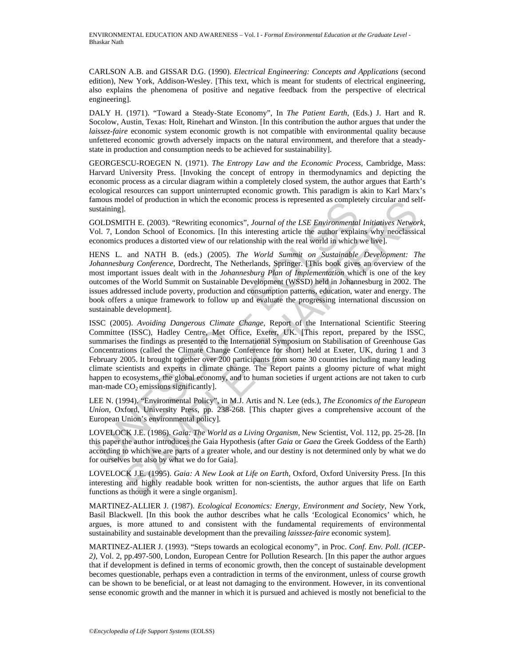CARLSON A.B. and GISSAR D.G. (1990). *Electrical Engineering: Concepts and Applications* (second edition), New York, Addison-Wesley. [This text, which is meant for students of electrical engineering, also explains the phenomena of positive and negative feedback from the perspective of electrical engineering].

DALY H. (1971). "Toward a Steady-State Economy", In *The Patient Earth*, (Eds.) J. Hart and R. Socolow, Austin, Texas: Holt, Rinehart and Winston. [In this contribution the author argues that under the *laissez-faire* economic system economic growth is not compatible with environmental quality because unfettered economic growth adversely impacts on the natural environment, and therefore that a steadystate in production and consumption needs to be achieved for sustainability].

GEORGESCU-ROEGEN N. (1971). *The Entropy Law and the Economic Process*, Cambridge, Mass: Harvard University Press. [Invoking the concept of entropy in thermodynamics and depicting the economic process as a circular diagram within a completely closed system, the author argues that Earth's ecological resources can support uninterrupted economic growth. This paradigm is akin to Karl Marx's famous model of production in which the economic process is represented as completely circular and selfsustaining].

GOLDSMITH E. (2003). "Rewriting economics", *Journal of the LSE Environmental Initiatives Network*, Vol. 7, London School of Economics. [In this interesting article the author explains why neoclassical economics produces a distorted view of our relationship with the real world in which we live].

HENS L. and NATH B. (eds.) (2005). *The World Summit on Sustainable Development: The Johannesburg Conference*, Dordrecht, The Netherlands, Springer. [This book gives an overview of the most important issues dealt with in the *Johannesburg Plan of Implementation* which is one of the key outcomes of the World Summit on Sustainable Development (WSSD) held in Johannesburg in 2002. The issues addressed include poverty, production and consumption patterns, education, water and energy. The book offers a unique framework to follow up and evaluate the progressing international discussion on sustainable development].

mous mode of production in which the economic process is represented as completed ustaining].<br>
OLDSMITH E. (2003). "Rewriting economics", *Journal of the LSE Environmental*<br>
ol. 7, London School of Economics. [In this inte ole of production in which the economic process is represented as completely circular and sel<br>
I.<br>
I. TIH E. (2003). "Rewriting economics", *Journal of the LSE Environmental Initiatives Networ<br>
produces a distorted view of* ISSC (2005). *Avoiding Dangerous Climate Change*, Report of the International Scientific Steering Committee (ISSC), Hadley Centre, Met Office, Exeter, UK. [This report, prepared by the ISSC, summarises the findings as presented to the International Symposium on Stabilisation of Greenhouse Gas Concentrations (called the Climate Change Conference for short) held at Exeter, UK, during 1 and 3 February 2005. It brought together over 200 participants from some 30 countries including many leading climate scientists and experts in climate change. The Report paints a gloomy picture of what might happen to ecosystems, the global economy, and to human societies if urgent actions are not taken to curb man-made  $CO<sub>2</sub>$  emissions significantly].

LEE N. (1994). "Environmental Policy", in M.J. Artis and N. Lee (eds.), *The Economics of the European Union*, Oxford, University Press, pp. 238-268. [This chapter gives a comprehensive account of the European Union's environmental policy].

LOVELOCK J.E. (1986). *Gaia: The World as a Living Organism*, New Scientist, Vol. 112, pp. 25-28. [In this paper the author introduces the Gaia Hypothesis (after *Gaia* or *Gaea* the Greek Goddess of the Earth) according to which we are parts of a greater whole, and our destiny is not determined only by what we do for ourselves but also by what we do for Gaia].

LOVELOCK J.E. (1995). *Gaia: A New Look at Life on Earth*, Oxford, Oxford University Press. [In this interesting and highly readable book written for non-scientists, the author argues that life on Earth functions as though it were a single organism].

MARTINEZ-ALLIER J. (1987). *Ecological Economics: Energy, Environment and Society*, New York, Basil Blackwell. [In this book the author describes what he calls 'Ecological Economics' which, he argues, is more attuned to and consistent with the fundamental requirements of environmental sustainability and sustainable development than the prevailing *laisssez-faire* economic system].

MARTINEZ-ALIER J. (1993). "Steps towards an ecological economy", in Proc. *Conf. Env. Poll. (ICEP-2)*, Vol. 2, pp.497-500, London, European Centre for Pollution Research. [In this paper the author argues that if development is defined in terms of economic growth, then the concept of sustainable development becomes questionable, perhaps even a contradiction in terms of the environment, unless of course growth can be shown to be beneficial, or at least not damaging to the environment. However, in its conventional sense economic growth and the manner in which it is pursued and achieved is mostly not beneficial to the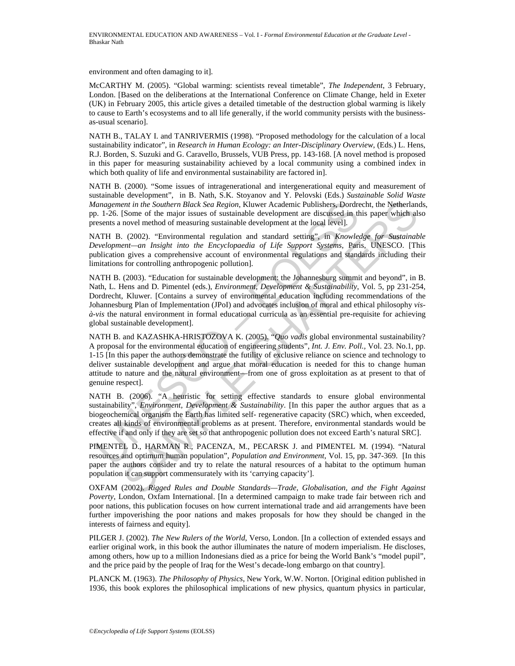environment and often damaging to it].

McCARTHY M. (2005). "Global warming: scientists reveal timetable", *The Independent*, 3 February, London. [Based on the deliberations at the International Conference on Climate Change, held in Exeter (UK) in February 2005, this article gives a detailed timetable of the destruction global warming is likely to cause to Earth's ecosystems and to all life generally, if the world community persists with the businessas-usual scenario].

NATH B., TALAY I. and TANRIVERMIS (1998). "Proposed methodology for the calculation of a local sustainability indicator", in *Research in Human Ecology: an Inter-Disciplinary Overview*, (Eds.) L. Hens, R.J. Borden, S. Suzuki and G. Caravello, Brussels, VUB Press, pp. 143-168. [A novel method is proposed in this paper for measuring sustainability achieved by a local community using a combined index in which both quality of life and environmental sustainability are factored in].

NATH B. (2000). "Some issues of intragenerational and intergenerational equity and measurement of sustainable development", in B. Nath, S.K. Stoyanov and Y. Pelovski (Eds.) *Sustainable Solid Waste Management in the Southern Black Sea Region*, Kluwer Academic Publishers, Dordrecht, the Netherlands, pp. 1-26. [Some of the major issues of sustainable development are discussed in this paper which also presents a novel method of measuring sustainable development at the local level].

NATH B. (2002). "Environmental regulation and standard setting", in *Knowledge for Sustainable Development—an Insight into the Encyclopaedia of Life Support Systems,* Paris, UNESCO. [This publication gives a comprehensive account of environmental regulations and standards including their limitations for controlling anthropogenic pollution].

*danagement in the Southern Black Sea Region*, Kluwer Academic Publishers, Dorder<br>
2.1-26. [Some of the major issues of sustainable development are discussed in the<br>
2.1-26. [Some of the major issues of sustainable develo *ent* in the Southern Black Sea Region, Kluwer Academic Publishers, Dordrecht, the Netherland<br>
Some of the major issues of sustainable development are discussed in this paper which also<br>
novel method of measuring sustaina NATH B. (2003). "Education for sustainable development: the Johannesburg summit and beyond", in B. Nath, L. Hens and D. Pimentel (eds.), *Environment, Development & Sustainability*, Vol. 5, pp 231-254, Dordrecht, Kluwer. [Contains a survey of environmental education including recommendations of the Johannesburg Plan of Implementation (JPoI) and advocates inclusion of moral and ethical philosophy *visà-vis* the natural environment in formal educational curricula as an essential pre-requisite for achieving global sustainable development].

NATH B. and KAZASHKA-HRISTOZOVA K. (2005). "*Quo vadis* global environmental sustainability? A proposal for the environmental education of engineering students", *Int. J. Env. Poll.,* Vol. 23. No.1, pp. 1-15 [In this paper the authors demonstrate the futility of exclusive reliance on science and technology to deliver sustainable development and argue that moral education is needed for this to change human attitude to nature and the natural environment—from one of gross exploitation as at present to that of genuine respect].

NATH B. (2006). "A heuristic for setting effective standards to ensure global environmental sustainability", *Environment, Development & Sustainability*. [In this paper the author argues that as a biogeochemical organism the Earth has limited self- regenerative capacity (SRC) which, when exceeded, creates all kinds of environmental problems as at present. Therefore, environmental standards would be effective if and only if they are set so that anthropogenic pollution does not exceed Earth's natural SRC].

PIMENTEL D., HARMAN R., PACENZA, M., PECARSK J. and PIMENTEL M. (1994). "Natural resources and optimum human population", *Population and Environment*, Vol. 15, pp. 347-369. [In this paper the authors consider and try to relate the natural resources of a habitat to the optimum human population it can support commensurately with its 'carrying capacity'].

OXFAM (2002). *Rigged Rules and Double Standards—Trade, Globalisation, and the Fight Against Poverty*, London, Oxfam International. [In a determined campaign to make trade fair between rich and poor nations, this publication focuses on how current international trade and aid arrangements have been further impoverishing the poor nations and makes proposals for how they should be changed in the interests of fairness and equity].

PILGER J. (2002). *The New Rulers of the World*, Verso, London. [In a collection of extended essays and earlier original work, in this book the author illuminates the nature of modern imperialism. He discloses, among others, how up to a million Indonesians died as a price for being the World Bank's "model pupil", and the price paid by the people of Iraq for the West's decade-long embargo on that country].

PLANCK M. (1963). *The Philosophy of Physics*, New York, W.W. Norton. [Original edition published in 1936, this book explores the philosophical implications of new physics, quantum physics in particular,